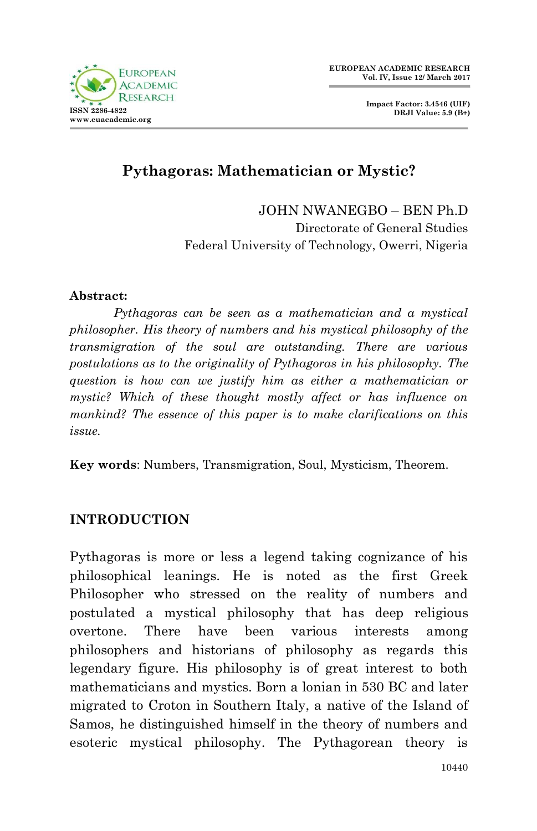

**Impact Factor: 3.4546 (UIF) DRJI Value: 5.9 (B+)**

# **Pythagoras: Mathematician or Mystic?**

JOHN NWANEGBO – BEN Ph.D Directorate of General Studies Federal University of Technology, Owerri, Nigeria

#### **Abstract:**

*Pythagoras can be seen as a mathematician and a mystical philosopher. His theory of numbers and his mystical philosophy of the transmigration of the soul are outstanding. There are various postulations as to the originality of Pythagoras in his philosophy. The question is how can we justify him as either a mathematician or mystic? Which of these thought mostly affect or has influence on mankind? The essence of this paper is to make clarifications on this issue.*

**Key words**: Numbers, Transmigration, Soul, Mysticism, Theorem.

## **INTRODUCTION**

Pythagoras is more or less a legend taking cognizance of his philosophical leanings. He is noted as the first Greek Philosopher who stressed on the reality of numbers and postulated a mystical philosophy that has deep religious overtone. There have been various interests among philosophers and historians of philosophy as regards this legendary figure. His philosophy is of great interest to both mathematicians and mystics. Born a lonian in 530 BC and later migrated to Croton in Southern Italy, a native of the Island of Samos, he distinguished himself in the theory of numbers and esoteric mystical philosophy. The Pythagorean theory is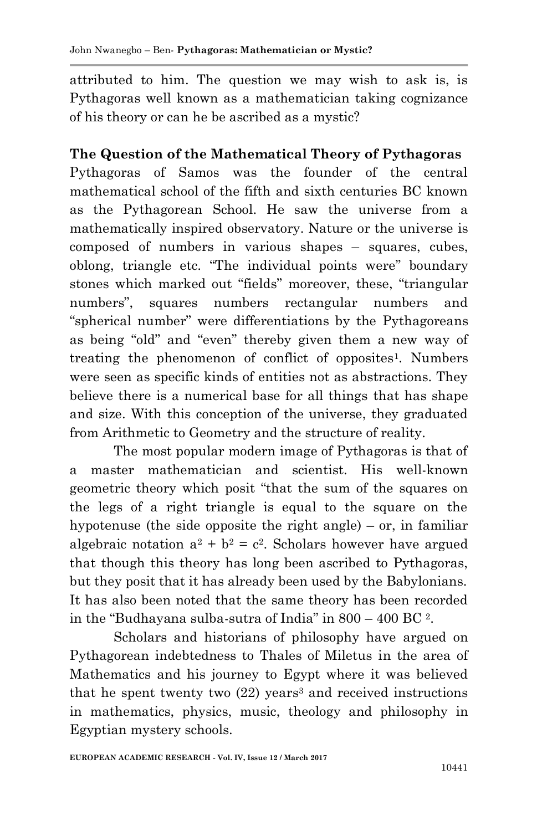attributed to him. The question we may wish to ask is, is Pythagoras well known as a mathematician taking cognizance of his theory or can he be ascribed as a mystic?

#### **The Question of the Mathematical Theory of Pythagoras**

Pythagoras of Samos was the founder of the central mathematical school of the fifth and sixth centuries BC known as the Pythagorean School. He saw the universe from a mathematically inspired observatory. Nature or the universe is composed of numbers in various shapes – squares, cubes, oblong, triangle etc. "The individual points were" boundary stones which marked out "fields" moreover, these, "triangular numbers", squares numbers rectangular numbers and "spherical number" were differentiations by the Pythagoreans as being "old" and "even" thereby given them a new way of treating the phenomenon of conflict of opposites<sup>1</sup>. Numbers were seen as specific kinds of entities not as abstractions. They believe there is a numerical base for all things that has shape and size. With this conception of the universe, they graduated from Arithmetic to Geometry and the structure of reality.

The most popular modern image of Pythagoras is that of a master mathematician and scientist. His well-known geometric theory which posit "that the sum of the squares on the legs of a right triangle is equal to the square on the hypotenuse (the side opposite the right angle) – or, in familiar algebraic notation  $a^2 + b^2 = c^2$ . Scholars however have argued that though this theory has long been ascribed to Pythagoras, but they posit that it has already been used by the Babylonians. It has also been noted that the same theory has been recorded in the "Budhayana sulba-sutra of India" in 800 – 400 BC <sup>2</sup> .

Scholars and historians of philosophy have argued on Pythagorean indebtedness to Thales of Miletus in the area of Mathematics and his journey to Egypt where it was believed that he spent twenty two (22) years <sup>3</sup> and received instructions in mathematics, physics, music, theology and philosophy in Egyptian mystery schools.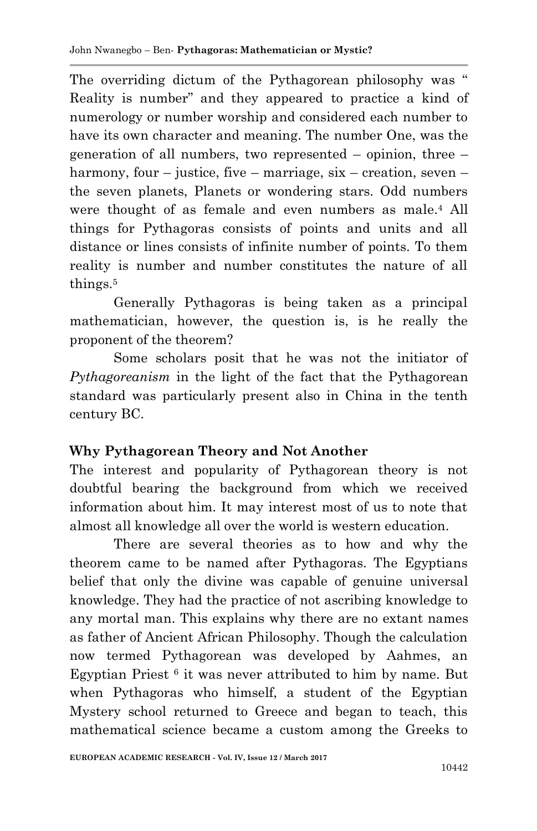The overriding dictum of the Pythagorean philosophy was " Reality is number" and they appeared to practice a kind of numerology or number worship and considered each number to have its own character and meaning. The number One, was the generation of all numbers, two represented – opinion, three – harmony, four – justice, five – marriage,  $six$  – creation, seven – the seven planets, Planets or wondering stars. Odd numbers were thought of as female and even numbers as male.<sup>4</sup> All things for Pythagoras consists of points and units and all distance or lines consists of infinite number of points. To them reality is number and number constitutes the nature of all things.<sup>5</sup>

Generally Pythagoras is being taken as a principal mathematician, however, the question is, is he really the proponent of the theorem?

Some scholars posit that he was not the initiator of *Pythagoreanism* in the light of the fact that the Pythagorean standard was particularly present also in China in the tenth century BC.

## **Why Pythagorean Theory and Not Another**

The interest and popularity of Pythagorean theory is not doubtful bearing the background from which we received information about him. It may interest most of us to note that almost all knowledge all over the world is western education.

There are several theories as to how and why the theorem came to be named after Pythagoras. The Egyptians belief that only the divine was capable of genuine universal knowledge. They had the practice of not ascribing knowledge to any mortal man. This explains why there are no extant names as father of Ancient African Philosophy. Though the calculation now termed Pythagorean was developed by Aahmes, an Egyptian Priest <sup>6</sup> it was never attributed to him by name. But when Pythagoras who himself, a student of the Egyptian Mystery school returned to Greece and began to teach, this mathematical science became a custom among the Greeks to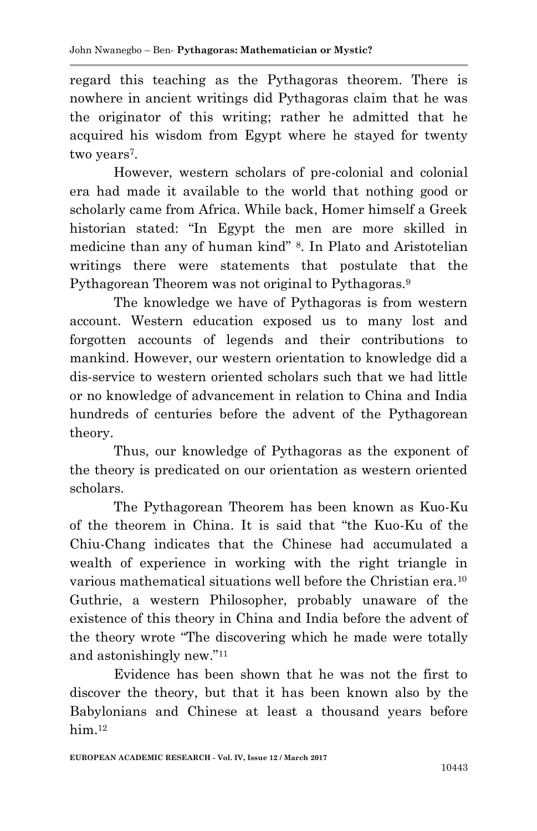regard this teaching as the Pythagoras theorem. There is nowhere in ancient writings did Pythagoras claim that he was the originator of this writing; rather he admitted that he acquired his wisdom from Egypt where he stayed for twenty two years<sup>7</sup>.

However, western scholars of pre-colonial and colonial era had made it available to the world that nothing good or scholarly came from Africa. While back, Homer himself a Greek historian stated: "In Egypt the men are more skilled in medicine than any of human kind" <sup>8</sup> . In Plato and Aristotelian writings there were statements that postulate that the Pythagorean Theorem was not original to Pythagoras.<sup>9</sup>

The knowledge we have of Pythagoras is from western account. Western education exposed us to many lost and forgotten accounts of legends and their contributions to mankind. However, our western orientation to knowledge did a dis-service to western oriented scholars such that we had little or no knowledge of advancement in relation to China and India hundreds of centuries before the advent of the Pythagorean theory.

Thus, our knowledge of Pythagoras as the exponent of the theory is predicated on our orientation as western oriented scholars.

The Pythagorean Theorem has been known as Kuo-Ku of the theorem in China. It is said that "the Kuo-Ku of the Chiu-Chang indicates that the Chinese had accumulated a wealth of experience in working with the right triangle in various mathematical situations well before the Christian era.<sup>10</sup> Guthrie, a western Philosopher, probably unaware of the existence of this theory in China and India before the advent of the theory wrote "The discovering which he made were totally and astonishingly new."<sup>11</sup>

Evidence has been shown that he was not the first to discover the theory, but that it has been known also by the Babylonians and Chinese at least a thousand years before him.<sup>12</sup>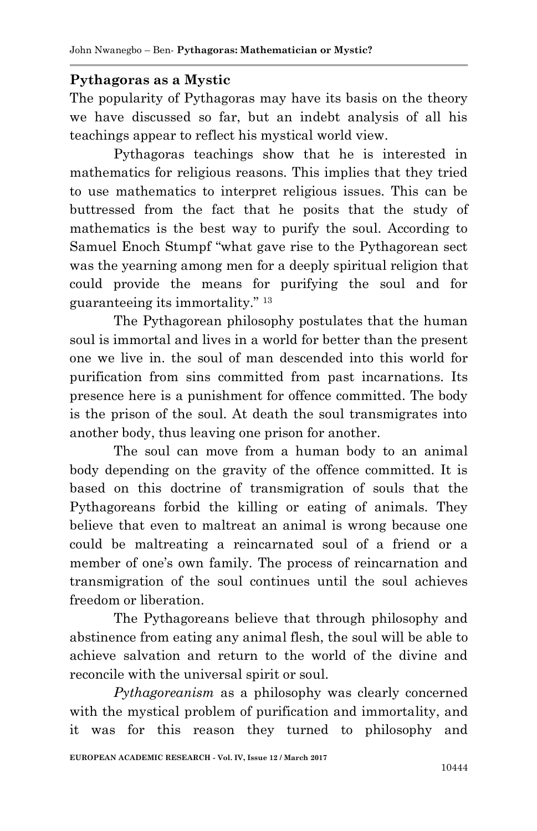#### **Pythagoras as a Mystic**

The popularity of Pythagoras may have its basis on the theory we have discussed so far, but an indebt analysis of all his teachings appear to reflect his mystical world view.

Pythagoras teachings show that he is interested in mathematics for religious reasons. This implies that they tried to use mathematics to interpret religious issues. This can be buttressed from the fact that he posits that the study of mathematics is the best way to purify the soul. According to Samuel Enoch Stumpf "what gave rise to the Pythagorean sect was the yearning among men for a deeply spiritual religion that could provide the means for purifying the soul and for guaranteeing its immortality." <sup>13</sup>

The Pythagorean philosophy postulates that the human soul is immortal and lives in a world for better than the present one we live in. the soul of man descended into this world for purification from sins committed from past incarnations. Its presence here is a punishment for offence committed. The body is the prison of the soul. At death the soul transmigrates into another body, thus leaving one prison for another.

The soul can move from a human body to an animal body depending on the gravity of the offence committed. It is based on this doctrine of transmigration of souls that the Pythagoreans forbid the killing or eating of animals. They believe that even to maltreat an animal is wrong because one could be maltreating a reincarnated soul of a friend or a member of one's own family. The process of reincarnation and transmigration of the soul continues until the soul achieves freedom or liberation.

The Pythagoreans believe that through philosophy and abstinence from eating any animal flesh, the soul will be able to achieve salvation and return to the world of the divine and reconcile with the universal spirit or soul.

*Pythagoreanism* as a philosophy was clearly concerned with the mystical problem of purification and immortality, and it was for this reason they turned to philosophy and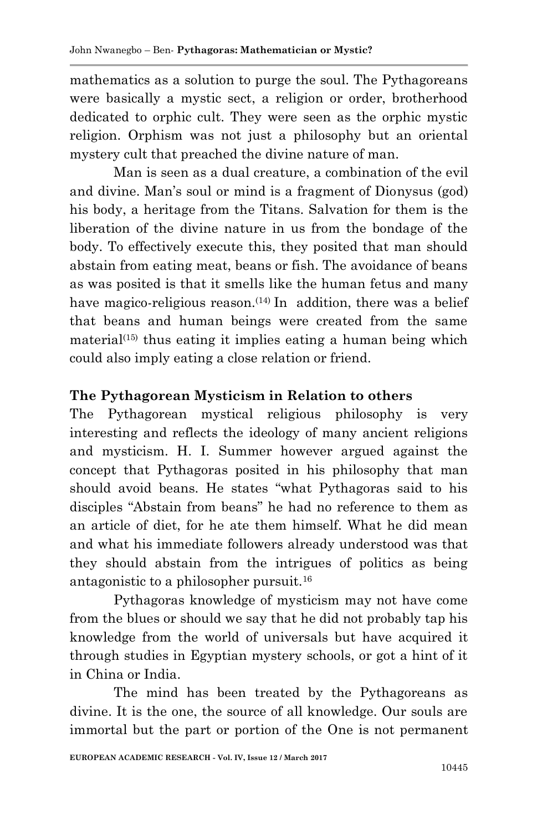mathematics as a solution to purge the soul. The Pythagoreans were basically a mystic sect, a religion or order, brotherhood dedicated to orphic cult. They were seen as the orphic mystic religion. Orphism was not just a philosophy but an oriental mystery cult that preached the divine nature of man.

Man is seen as a dual creature, a combination of the evil and divine. Man's soul or mind is a fragment of Dionysus (god) his body, a heritage from the Titans. Salvation for them is the liberation of the divine nature in us from the bondage of the body. To effectively execute this, they posited that man should abstain from eating meat, beans or fish. The avoidance of beans as was posited is that it smells like the human fetus and many have magico-religious reason.<sup> $(14)$ </sup> In addition, there was a belief that beans and human beings were created from the same material<sup>(15)</sup> thus eating it implies eating a human being which could also imply eating a close relation or friend.

## **The Pythagorean Mysticism in Relation to others**

The Pythagorean mystical religious philosophy is very interesting and reflects the ideology of many ancient religions and mysticism. H. I. Summer however argued against the concept that Pythagoras posited in his philosophy that man should avoid beans. He states "what Pythagoras said to his disciples "Abstain from beans" he had no reference to them as an article of diet, for he ate them himself. What he did mean and what his immediate followers already understood was that they should abstain from the intrigues of politics as being antagonistic to a philosopher pursuit.<sup>16</sup>

Pythagoras knowledge of mysticism may not have come from the blues or should we say that he did not probably tap his knowledge from the world of universals but have acquired it through studies in Egyptian mystery schools, or got a hint of it in China or India.

The mind has been treated by the Pythagoreans as divine. It is the one, the source of all knowledge. Our souls are immortal but the part or portion of the One is not permanent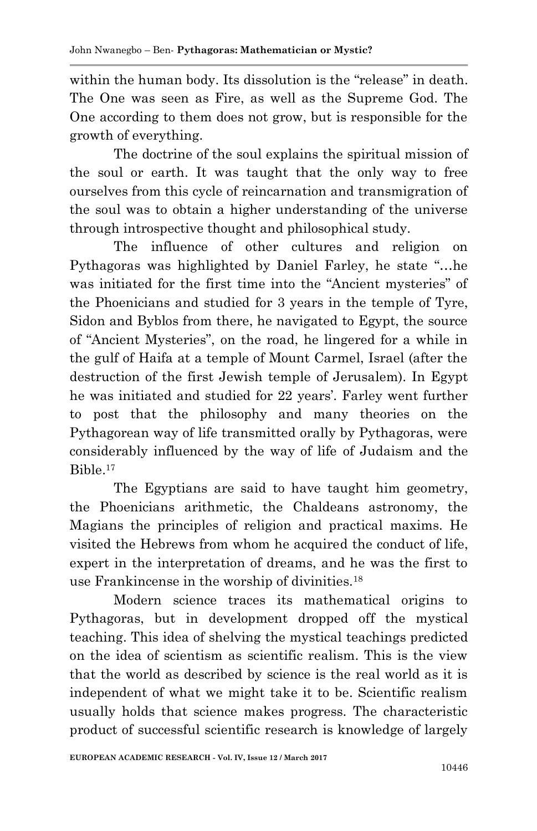within the human body. Its dissolution is the "release" in death. The One was seen as Fire, as well as the Supreme God. The One according to them does not grow, but is responsible for the growth of everything.

The doctrine of the soul explains the spiritual mission of the soul or earth. It was taught that the only way to free ourselves from this cycle of reincarnation and transmigration of the soul was to obtain a higher understanding of the universe through introspective thought and philosophical study.

The influence of other cultures and religion on Pythagoras was highlighted by Daniel Farley, he state "…he was initiated for the first time into the "Ancient mysteries" of the Phoenicians and studied for 3 years in the temple of Tyre, Sidon and Byblos from there, he navigated to Egypt, the source of "Ancient Mysteries", on the road, he lingered for a while in the gulf of Haifa at a temple of Mount Carmel, Israel (after the destruction of the first Jewish temple of Jerusalem). In Egypt he was initiated and studied for 22 years'. Farley went further to post that the philosophy and many theories on the Pythagorean way of life transmitted orally by Pythagoras, were considerably influenced by the way of life of Judaism and the Bible.<sup>17</sup>

The Egyptians are said to have taught him geometry, the Phoenicians arithmetic, the Chaldeans astronomy, the Magians the principles of religion and practical maxims. He visited the Hebrews from whom he acquired the conduct of life, expert in the interpretation of dreams, and he was the first to use Frankincense in the worship of divinities.<sup>18</sup>

Modern science traces its mathematical origins to Pythagoras, but in development dropped off the mystical teaching. This idea of shelving the mystical teachings predicted on the idea of scientism as scientific realism. This is the view that the world as described by science is the real world as it is independent of what we might take it to be. Scientific realism usually holds that science makes progress. The characteristic product of successful scientific research is knowledge of largely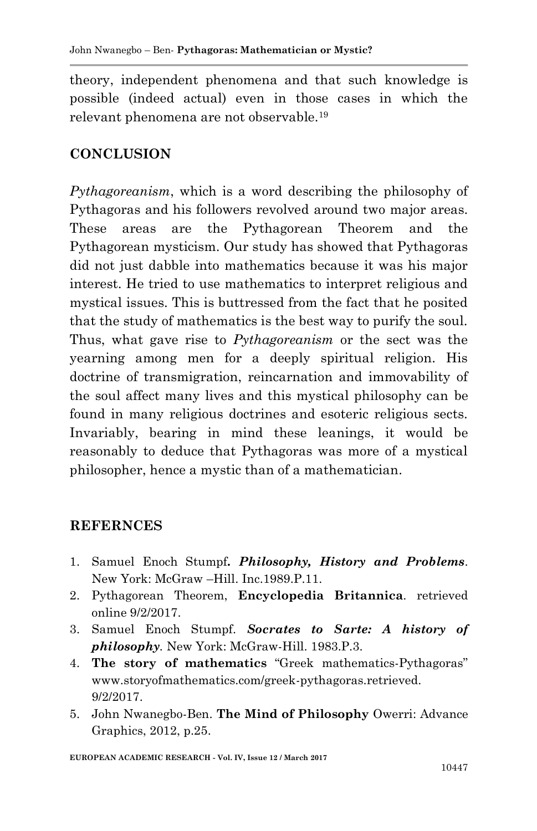theory, independent phenomena and that such knowledge is possible (indeed actual) even in those cases in which the relevant phenomena are not observable.<sup>19</sup>

# **CONCLUSION**

*Pythagoreanism*, which is a word describing the philosophy of Pythagoras and his followers revolved around two major areas. These areas are the Pythagorean Theorem and the Pythagorean mysticism. Our study has showed that Pythagoras did not just dabble into mathematics because it was his major interest. He tried to use mathematics to interpret religious and mystical issues. This is buttressed from the fact that he posited that the study of mathematics is the best way to purify the soul. Thus, what gave rise to *Pythagoreanism* or the sect was the yearning among men for a deeply spiritual religion. His doctrine of transmigration, reincarnation and immovability of the soul affect many lives and this mystical philosophy can be found in many religious doctrines and esoteric religious sects. Invariably, bearing in mind these leanings, it would be reasonably to deduce that Pythagoras was more of a mystical philosopher, hence a mystic than of a mathematician.

## **REFERNCES**

- 1. Samuel Enoch Stumpf*. Philosophy, History and Problems*. New York: McGraw –Hill. Inc.1989.P.11.
- 2. Pythagorean Theorem, **Encyclopedia Britannica**. retrieved online 9/2/2017.
- 3. Samuel Enoch Stumpf. *Socrates to Sarte: A history of philosophy.* New York: McGraw-Hill. 1983.P.3.
- 4. **The story of mathematics** "Greek mathematics-Pythagoras" www.storyofmathematics.com/greek-pythagoras.retrieved. 9/2/2017.
- 5. John Nwanegbo-Ben. **The Mind of Philosophy** Owerri: Advance Graphics, 2012, p.25.